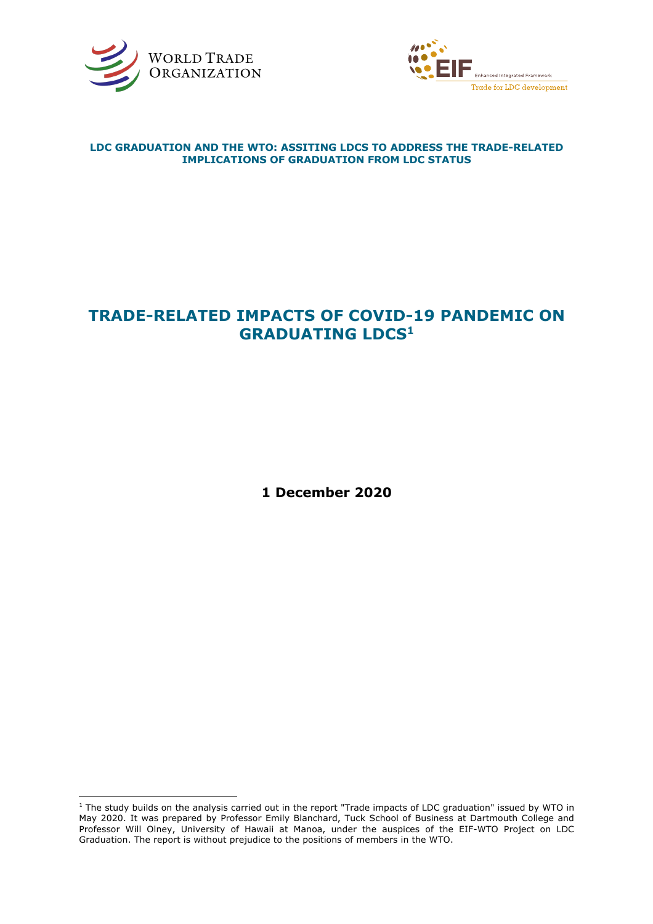



## **LDC GRADUATION AND THE WTO: ASSITING LDCS TO ADDRESS THE TRADE-RELATED IMPLICATIONS OF GRADUATION FROM LDC STATUS**

# **TRADE-RELATED IMPACTS OF COVID-19 PANDEMIC ON GRADUATING LDCS1**

**1 December 2020**

 $1$  The study builds on the analysis carried out in the report "Trade impacts of LDC graduation" issued by WTO in May 2020. It was prepared by Professor Emily Blanchard, Tuck School of Business at Dartmouth College and Professor Will Olney, University of Hawaii at Manoa, under the auspices of the EIF-WTO Project on LDC Graduation. The report is without prejudice to the positions of members in the WTO.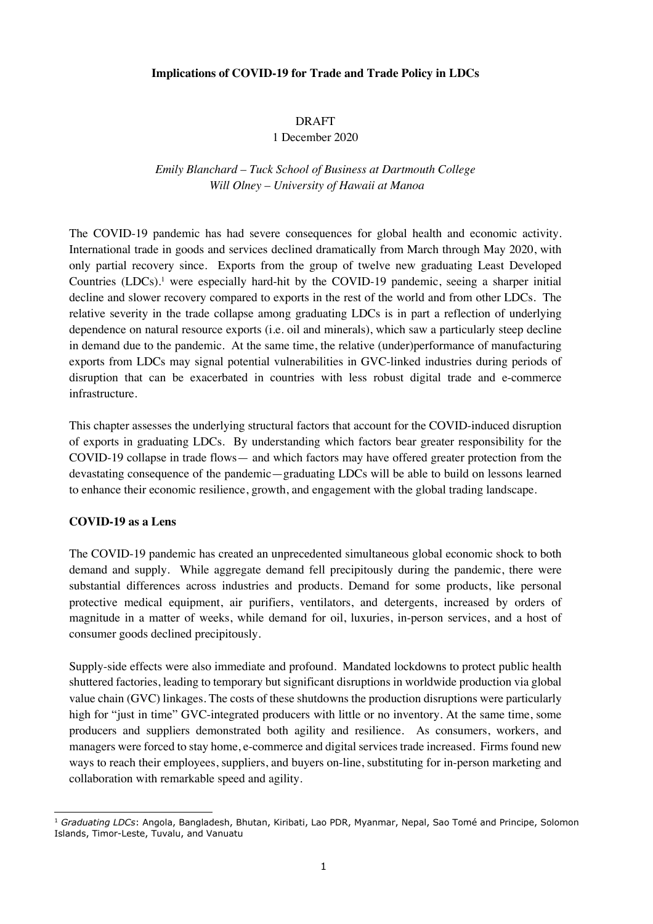#### **Implications of COVID-19 for Trade and Trade Policy in LDCs**

#### DRAFT

#### 1 December 2020

# *Emily Blanchard – Tuck School of Business at Dartmouth College Will Olney – University of Hawaii at Manoa*

The COVID-19 pandemic has had severe consequences for global health and economic activity. International trade in goods and services declined dramatically from March through May 2020, with only partial recovery since. Exports from the group of twelve new graduating Least Developed Countries (LDCs).<sup>1</sup> were especially hard-hit by the COVID-19 pandemic, seeing a sharper initial decline and slower recovery compared to exports in the rest of the world and from other LDCs. The relative severity in the trade collapse among graduating LDCs is in part a reflection of underlying dependence on natural resource exports (i.e. oil and minerals), which saw a particularly steep decline in demand due to the pandemic. At the same time, the relative (under)performance of manufacturing exports from LDCs may signal potential vulnerabilities in GVC-linked industries during periods of disruption that can be exacerbated in countries with less robust digital trade and e-commerce infrastructure.

This chapter assesses the underlying structural factors that account for the COVID-induced disruption of exports in graduating LDCs. By understanding which factors bear greater responsibility for the COVID-19 collapse in trade flows— and which factors may have offered greater protection from the devastating consequence of the pandemic—graduating LDCs will be able to build on lessons learned to enhance their economic resilience, growth, and engagement with the global trading landscape.

## **COVID-19 as a Lens**

The COVID-19 pandemic has created an unprecedented simultaneous global economic shock to both demand and supply. While aggregate demand fell precipitously during the pandemic, there were substantial differences across industries and products. Demand for some products, like personal protective medical equipment, air purifiers, ventilators, and detergents, increased by orders of magnitude in a matter of weeks, while demand for oil, luxuries, in-person services, and a host of consumer goods declined precipitously.

Supply-side effects were also immediate and profound. Mandated lockdowns to protect public health shuttered factories, leading to temporary but significant disruptions in worldwide production via global value chain (GVC) linkages. The costs of these shutdowns the production disruptions were particularly high for "just in time" GVC-integrated producers with little or no inventory. At the same time, some producers and suppliers demonstrated both agility and resilience. As consumers, workers, and managers were forced to stay home, e-commerce and digital services trade increased. Firms found new ways to reach their employees, suppliers, and buyers on-line, substituting for in-person marketing and collaboration with remarkable speed and agility.

<sup>1</sup> *Graduating LDCs*: Angola, Bangladesh, Bhutan, Kiribati, Lao PDR, Myanmar, Nepal, Sao Tomé and Principe, Solomon Islands, Timor-Leste, Tuvalu, and Vanuatu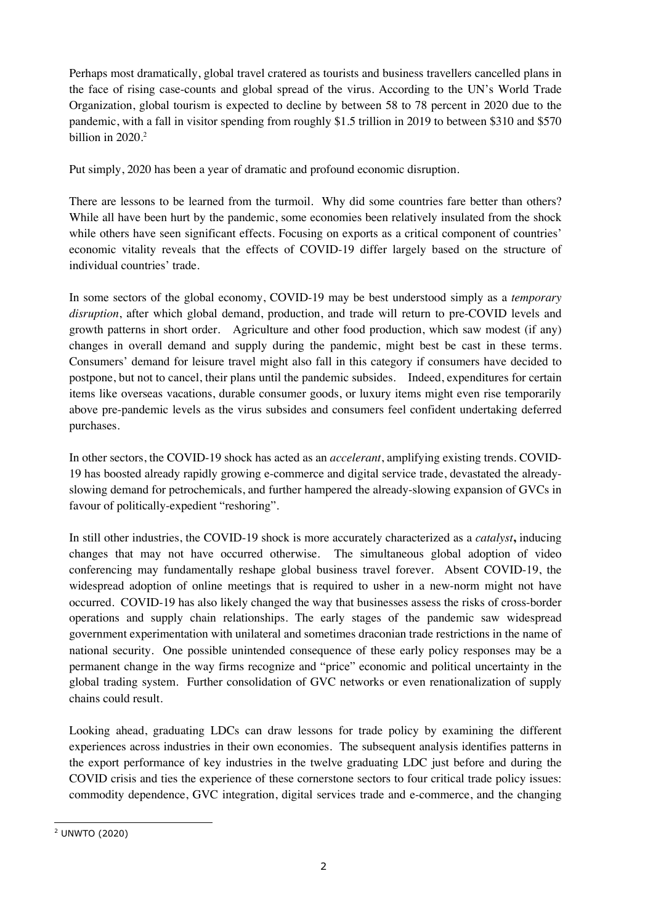Perhaps most dramatically, global travel cratered as tourists and business travellers cancelled plans in the face of rising case-counts and global spread of the virus. According to the UN's World Trade Organization, global tourism is expected to decline by between 58 to 78 percent in 2020 due to the pandemic, with a fall in visitor spending from roughly \$1.5 trillion in 2019 to between \$310 and \$570 billion in 2020. 2

Put simply, 2020 has been a year of dramatic and profound economic disruption.

There are lessons to be learned from the turmoil. Why did some countries fare better than others? While all have been hurt by the pandemic, some economies been relatively insulated from the shock while others have seen significant effects. Focusing on exports as a critical component of countries' economic vitality reveals that the effects of COVID-19 differ largely based on the structure of individual countries' trade.

In some sectors of the global economy, COVID-19 may be best understood simply as a *temporary disruption*, after which global demand, production, and trade will return to pre-COVID levels and growth patterns in short order. Agriculture and other food production, which saw modest (if any) changes in overall demand and supply during the pandemic, might best be cast in these terms. Consumers' demand for leisure travel might also fall in this category if consumers have decided to postpone, but not to cancel, their plans until the pandemic subsides. Indeed, expenditures for certain items like overseas vacations, durable consumer goods, or luxury items might even rise temporarily above pre-pandemic levels as the virus subsides and consumers feel confident undertaking deferred purchases.

In other sectors, the COVID-19 shock has acted as an *accelerant*, amplifying existing trends. COVID-19 has boosted already rapidly growing e-commerce and digital service trade, devastated the alreadyslowing demand for petrochemicals, and further hampered the already-slowing expansion of GVCs in favour of politically-expedient "reshoring".

In still other industries, the COVID-19 shock is more accurately characterized as a *catalyst***,** inducing changes that may not have occurred otherwise. The simultaneous global adoption of video conferencing may fundamentally reshape global business travel forever. Absent COVID-19, the widespread adoption of online meetings that is required to usher in a new-norm might not have occurred. COVID-19 has also likely changed the way that businesses assess the risks of cross-border operations and supply chain relationships. The early stages of the pandemic saw widespread government experimentation with unilateral and sometimes draconian trade restrictions in the name of national security. One possible unintended consequence of these early policy responses may be a permanent change in the way firms recognize and "price" economic and political uncertainty in the global trading system. Further consolidation of GVC networks or even renationalization of supply chains could result.

Looking ahead, graduating LDCs can draw lessons for trade policy by examining the different experiences across industries in their own economies. The subsequent analysis identifies patterns in the export performance of key industries in the twelve graduating LDC just before and during the COVID crisis and ties the experience of these cornerstone sectors to four critical trade policy issues: commodity dependence, GVC integration, digital services trade and e-commerce, and the changing

<sup>2</sup> UNWTO (2020)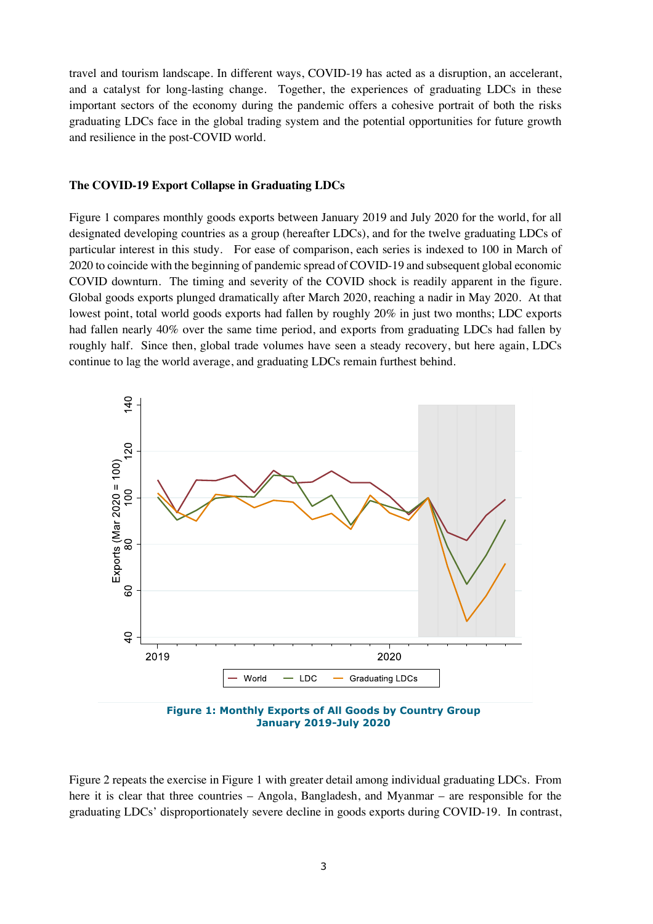travel and tourism landscape. In different ways, COVID-19 has acted as a disruption, an accelerant, and a catalyst for long-lasting change. Together, the experiences of graduating LDCs in these important sectors of the economy during the pandemic offers a cohesive portrait of both the risks graduating LDCs face in the global trading system and the potential opportunities for future growth and resilience in the post-COVID world.

#### **The COVID-19 Export Collapse in Graduating LDCs**

Figure 1 compares monthly goods exports between January 2019 and July 2020 for the world, for all designated developing countries as a group (hereafter LDCs), and for the twelve graduating LDCs of particular interest in this study. For ease of comparison, each series is indexed to 100 in March of 2020 to coincide with the beginning of pandemic spread of COVID-19 and subsequent global economic COVID downturn. The timing and severity of the COVID shock is readily apparent in the figure. Global goods exports plunged dramatically after March 2020, reaching a nadir in May 2020. At that lowest point, total world goods exports had fallen by roughly 20% in just two months; LDC exports had fallen nearly 40% over the same time period, and exports from graduating LDCs had fallen by roughly half. Since then, global trade volumes have seen a steady recovery, but here again, LDCs continue to lag the world average, and graduating LDCs remain furthest behind.



**Figure 1: Monthly Exports of All Goods by Country Group January 2019-July 2020**

Figure 2 repeats the exercise in Figure 1 with greater detail among individual graduating LDCs. From here it is clear that three countries – Angola, Bangladesh, and Myanmar – are responsible for the graduating LDCs' disproportionately severe decline in goods exports during COVID-19. In contrast,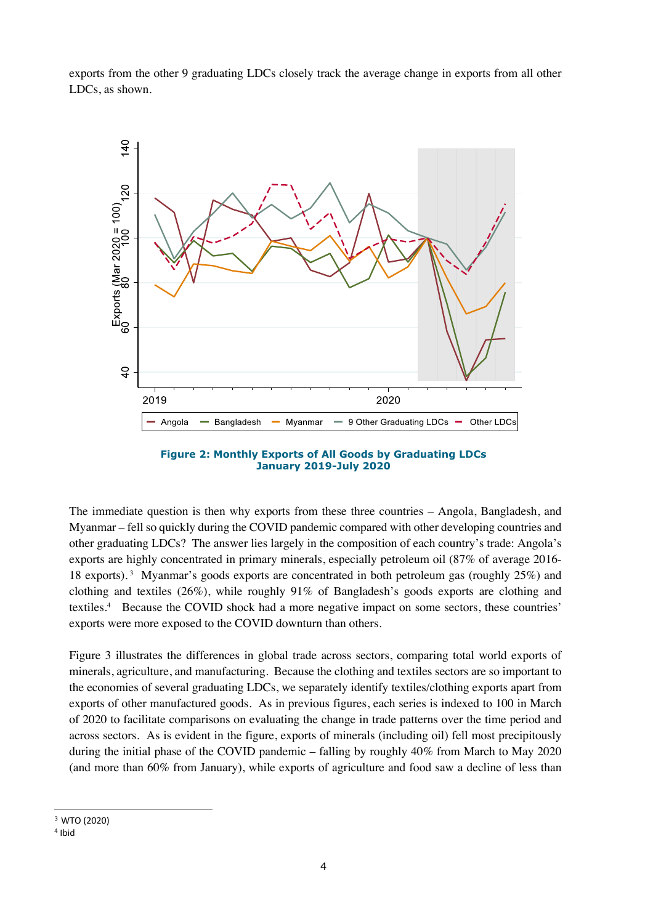exports from the other 9 graduating LDCs closely track the average change in exports from all other LDCs, as shown.



**Figure 2: Monthly Exports of All Goods by Graduating LDCs January 2019-July 2020**

The immediate question is then why exports from these three countries – Angola, Bangladesh, and Myanmar – fell so quickly during the COVID pandemic compared with other developing countries and other graduating LDCs? The answer lies largely in the composition of each country's trade: Angola's exports are highly concentrated in primary minerals, especially petroleum oil (87% of average 2016- 18 exports).<sup>3</sup> Myanmar's goods exports are concentrated in both petroleum gas (roughly 25%) and clothing and textiles (26%), while roughly 91% of Bangladesh's goods exports are clothing and textiles.4 Because the COVID shock had a more negative impact on some sectors, these countries' exports were more exposed to the COVID downturn than others.

Figure 3 illustrates the differences in global trade across sectors, comparing total world exports of minerals, agriculture, and manufacturing. Because the clothing and textiles sectors are so important to the economies of several graduating LDCs, we separately identify textiles/clothing exports apart from exports of other manufactured goods. As in previous figures, each series is indexed to 100 in March of 2020 to facilitate comparisons on evaluating the change in trade patterns over the time period and across sectors. As is evident in the figure, exports of minerals (including oil) fell most precipitously during the initial phase of the COVID pandemic – falling by roughly 40% from March to May 2020 (and more than 60% from January), while exports of agriculture and food saw a decline of less than

<sup>3</sup> WTO (2020)

<sup>4</sup> Ibid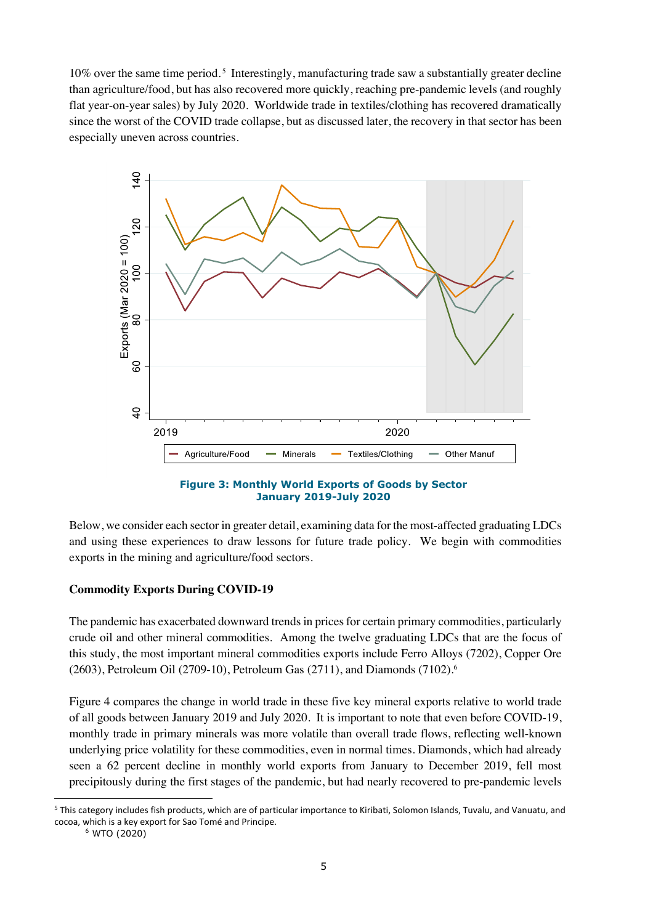10% over the same time period.<sup>5</sup> Interestingly, manufacturing trade saw a substantially greater decline than agriculture/food, but has also recovered more quickly, reaching pre-pandemic levels (and roughly flat year-on-year sales) by July 2020. Worldwide trade in textiles/clothing has recovered dramatically since the worst of the COVID trade collapse, but as discussed later, the recovery in that sector has been especially uneven across countries.



#### **Figure 3: Monthly World Exports of Goods by Sector January 2019-July 2020**

Below, we consider each sector in greater detail, examining data for the most-affected graduating LDCs and using these experiences to draw lessons for future trade policy. We begin with commodities exports in the mining and agriculture/food sectors.

# **Commodity Exports During COVID-19**

The pandemic has exacerbated downward trends in prices for certain primary commodities, particularly crude oil and other mineral commodities. Among the twelve graduating LDCs that are the focus of this study, the most important mineral commodities exports include Ferro Alloys (7202), Copper Ore (2603), Petroleum Oil (2709-10), Petroleum Gas (2711), and Diamonds (7102). 6

Figure 4 compares the change in world trade in these five key mineral exports relative to world trade of all goods between January 2019 and July 2020. It is important to note that even before COVID-19, monthly trade in primary minerals was more volatile than overall trade flows, reflecting well-known underlying price volatility for these commodities, even in normal times. Diamonds, which had already seen a 62 percent decline in monthly world exports from January to December 2019, fell most precipitously during the first stages of the pandemic, but had nearly recovered to pre-pandemic levels

<sup>5</sup> This category includes fish products, which are of particular importance to Kiribati, Solomon Islands, Tuvalu, and Vanuatu, and cocoa, which is a key export for Sao Tomé and Principe.

<sup>6</sup> WTO (2020)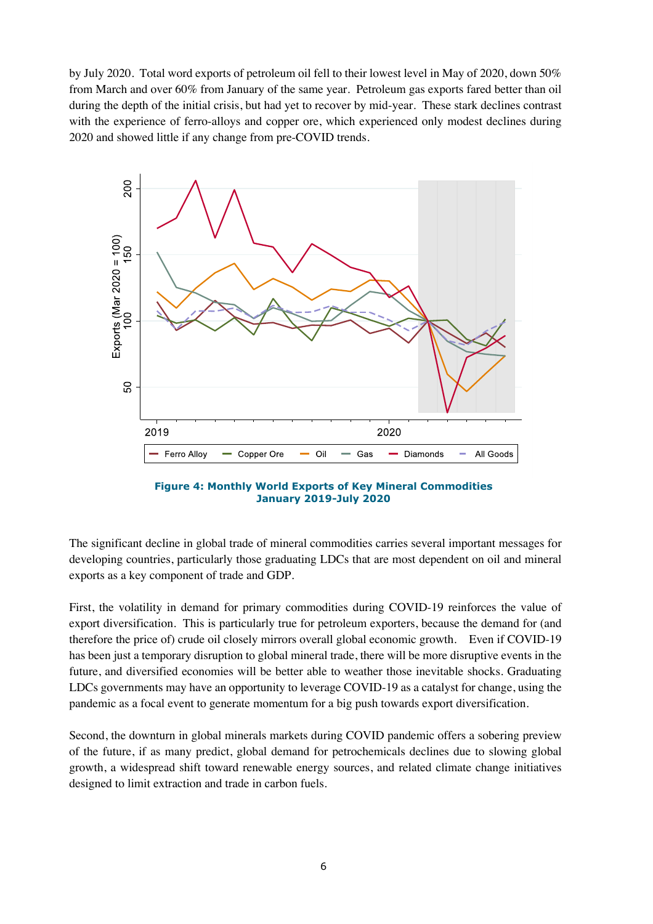by July 2020. Total word exports of petroleum oil fell to their lowest level in May of 2020, down 50% from March and over 60% from January of the same year. Petroleum gas exports fared better than oil during the depth of the initial crisis, but had yet to recover by mid-year. These stark declines contrast with the experience of ferro-alloys and copper ore, which experienced only modest declines during 2020 and showed little if any change from pre-COVID trends.



**Figure 4: Monthly World Exports of Key Mineral Commodities January 2019-July 2020**

The significant decline in global trade of mineral commodities carries several important messages for developing countries, particularly those graduating LDCs that are most dependent on oil and mineral exports as a key component of trade and GDP.

First, the volatility in demand for primary commodities during COVID-19 reinforces the value of export diversification. This is particularly true for petroleum exporters, because the demand for (and therefore the price of) crude oil closely mirrors overall global economic growth. Even if COVID-19 has been just a temporary disruption to global mineral trade, there will be more disruptive events in the future, and diversified economies will be better able to weather those inevitable shocks. Graduating LDCs governments may have an opportunity to leverage COVID-19 as a catalyst for change, using the pandemic as a focal event to generate momentum for a big push towards export diversification.

Second, the downturn in global minerals markets during COVID pandemic offers a sobering preview of the future, if as many predict, global demand for petrochemicals declines due to slowing global growth, a widespread shift toward renewable energy sources, and related climate change initiatives designed to limit extraction and trade in carbon fuels.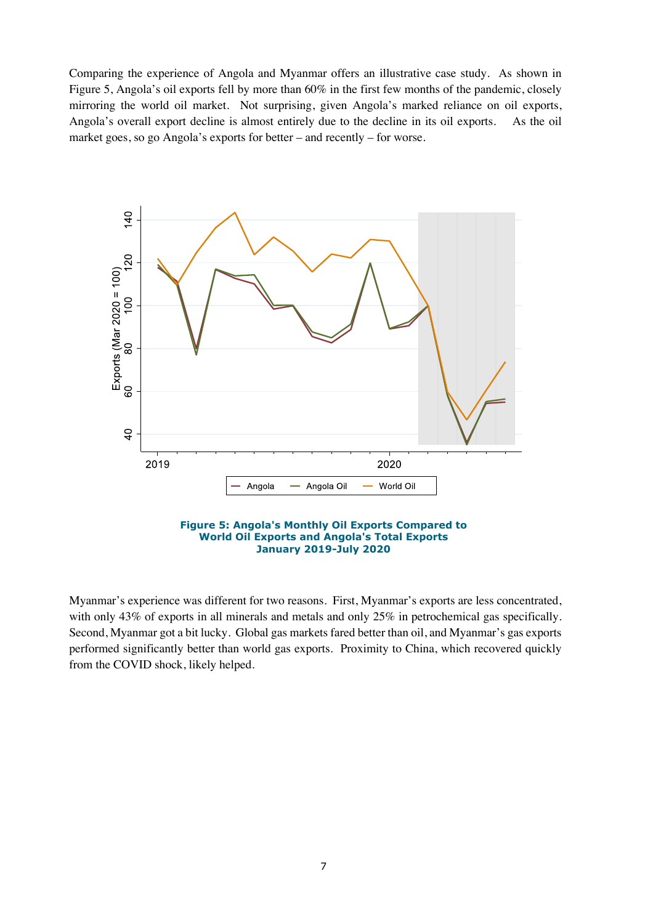Comparing the experience of Angola and Myanmar offers an illustrative case study. As shown in Figure 5, Angola's oil exports fell by more than 60% in the first few months of the pandemic, closely mirroring the world oil market. Not surprising, given Angola's marked reliance on oil exports, Angola's overall export decline is almost entirely due to the decline in its oil exports. As the oil market goes, so go Angola's exports for better – and recently – for worse.



Myanmar's experience was different for two reasons. First, Myanmar's exports are less concentrated, with only 43% of exports in all minerals and metals and only 25% in petrochemical gas specifically. Second, Myanmar got a bit lucky. Global gas markets fared better than oil, and Myanmar's gas exports performed significantly better than world gas exports. Proximity to China, which recovered quickly from the COVID shock, likely helped.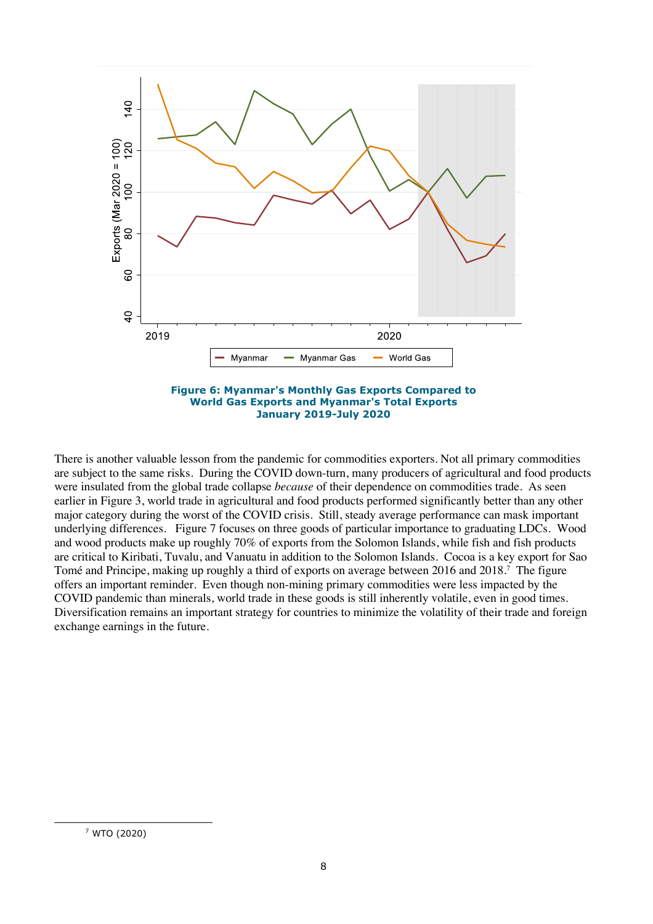



There is another valuable lesson from the pandemic for commodities exporters. Not all primary commodities are subject to the same risks. During the COVID down-turn, many producers of agricultural and food products were insulated from the global trade collapse *because* of their dependence on commodities trade. As seen earlier in Figure 3, world trade in agricultural and food products performed significantly better than any other major category during the worst of the COVID crisis. Still, steady average performance can mask important underlying differences. Figure 7 focuses on three goods of particular importance to graduating LDCs. Wood and wood products make up roughly 70% of exports from the Solomon Islands, while fish and fish products are critical to Kiribati, Tuvalu, and Vanuatu in addition to the Solomon Islands. Cocoa is a key export for Sao Tomé and Principe, making up roughly a third of exports on average between 2016 and 2018.<sup>7</sup> The figure offers an important reminder. Even though non-mining primary commodities were less impacted by the COVID pandemic than minerals, world trade in these goods is still inherently volatile, even in good times. Diversification remains an important strategy for countries to minimize the volatility of their trade and foreign exchange earnings in the future.

<sup>7</sup> WTO (2020)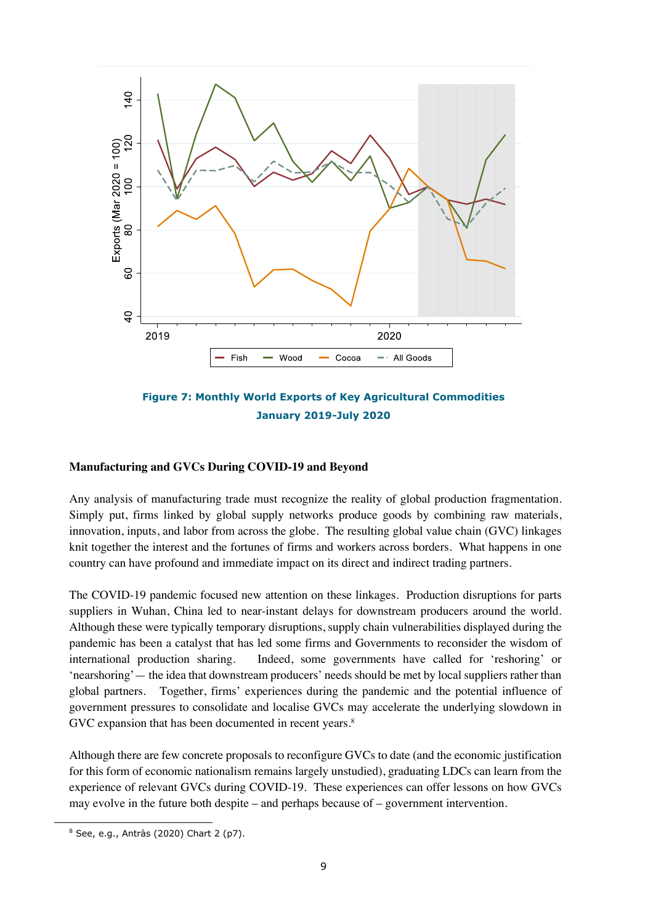



## **Manufacturing and GVCs During COVID-19 and Beyond**

Any analysis of manufacturing trade must recognize the reality of global production fragmentation. Simply put, firms linked by global supply networks produce goods by combining raw materials, innovation, inputs, and labor from across the globe. The resulting global value chain (GVC) linkages knit together the interest and the fortunes of firms and workers across borders. What happens in one country can have profound and immediate impact on its direct and indirect trading partners.

The COVID-19 pandemic focused new attention on these linkages. Production disruptions for parts suppliers in Wuhan, China led to near-instant delays for downstream producers around the world. Although these were typically temporary disruptions, supply chain vulnerabilities displayed during the pandemic has been a catalyst that has led some firms and Governments to reconsider the wisdom of international production sharing. Indeed, some governments have called for 'reshoring' or 'nearshoring'— the idea that downstream producers' needs should be met by local suppliers rather than global partners. Together, firms' experiences during the pandemic and the potential influence of government pressures to consolidate and localise GVCs may accelerate the underlying slowdown in GVC expansion that has been documented in recent years.<sup>8</sup>

Although there are few concrete proposals to reconfigure GVCs to date (and the economic justification for this form of economic nationalism remains largely unstudied), graduating LDCs can learn from the experience of relevant GVCs during COVID-19. These experiences can offer lessons on how GVCs may evolve in the future both despite – and perhaps because of – government intervention.

<sup>8</sup> See, e.g., Antràs (2020) Chart 2 (p7).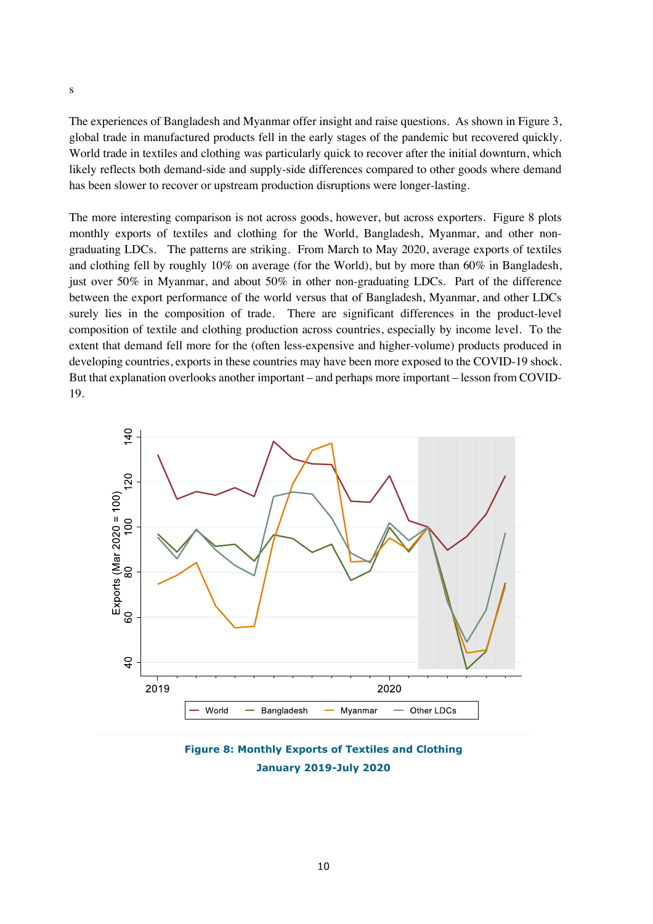The experiences of Bangladesh and Myanmar offer insight and raise questions. As shown in Figure 3, global trade in manufactured products fell in the early stages of the pandemic but recovered quickly. World trade in textiles and clothing was particularly quick to recover after the initial downturn, which likely reflects both demand-side and supply-side differences compared to other goods where demand has been slower to recover or upstream production disruptions were longer-lasting.

The more interesting comparison is not across goods, however, but across exporters. Figure 8 plots monthly exports of textiles and clothing for the World, Bangladesh, Myanmar, and other nongraduating LDCs. The patterns are striking. From March to May 2020, average exports of textiles and clothing fell by roughly 10% on average (for the World), but by more than 60% in Bangladesh, just over 50% in Myanmar, and about 50% in other non-graduating LDCs. Part of the difference between the export performance of the world versus that of Bangladesh, Myanmar, and other LDCs surely lies in the composition of trade. There are significant differences in the product-level composition of textile and clothing production across countries, especially by income level. To the extent that demand fell more for the (often less-expensive and higher-volume) products produced in developing countries, exports in these countries may have been more exposed to the COVID-19 shock. But that explanation overlooks another important – and perhaps more important – lesson from COVID-19.



**Figure 8: Monthly Exports of Textiles and Clothing January 2019-July 2020**

s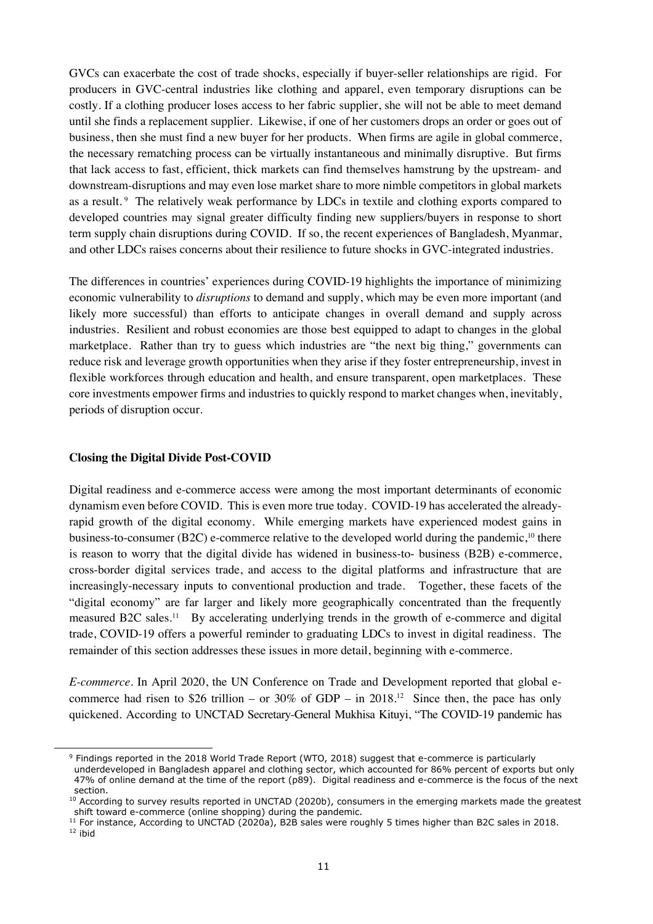GVCs can exacerbate the cost of trade shocks, especially if buyer-seller relationships are rigid. For producers in GVC-central industries like clothing and apparel, even temporary disruptions can be costly. If a clothing producer loses access to her fabric supplier, she will not be able to meet demand until she finds a replacement supplier. Likewise, if one of her customers drops an order or goes out of business, then she must find a new buyer for her products. When firms are agile in global commerce, the necessary rematching process can be virtually instantaneous and minimally disruptive. But firms that lack access to fast, efficient, thick markets can find themselves hamstrung by the upstream- and downstream-disruptions and may even lose market share to more nimble competitors in global markets as a result.<sup>9</sup> The relatively weak performance by LDCs in textile and clothing exports compared to developed countries may signal greater difficulty finding new suppliers/buyers in response to short term supply chain disruptions during COVID. If so, the recent experiences of Bangladesh, Myanmar, and other LDCs raises concerns about their resilience to future shocks in GVC-integrated industries.

The differences in countries' experiences during COVID-19 highlights the importance of minimizing economic vulnerability to *disruptions* to demand and supply, which may be even more important (and likely more successful) than efforts to anticipate changes in overall demand and supply across industries. Resilient and robust economies are those best equipped to adapt to changes in the global marketplace. Rather than try to guess which industries are "the next big thing," governments can reduce risk and leverage growth opportunities when they arise if they foster entrepreneurship, invest in flexible workforces through education and health, and ensure transparent, open marketplaces. These core investments empower firms and industries to quickly respond to market changes when, inevitably, periods of disruption occur.

#### **Closing the Digital Divide Post-COVID**

Digital readiness and e-commerce access were among the most important determinants of economic dynamism even before COVID. This is even more true today. COVID-19 has accelerated the alreadyrapid growth of the digital economy. While emerging markets have experienced modest gains in business-to-consumer (B2C) e-commerce relative to the developed world during the pandemic,<sup>10</sup> there is reason to worry that the digital divide has widened in business-to- business (B2B) e-commerce, cross-border digital services trade, and access to the digital platforms and infrastructure that are increasingly-necessary inputs to conventional production and trade. Together, these facets of the "digital economy" are far larger and likely more geographically concentrated than the frequently measured B2C sales.<sup>11</sup> By accelerating underlying trends in the growth of e-commerce and digital trade, COVID-19 offers a powerful reminder to graduating LDCs to invest in digital readiness. The remainder of this section addresses these issues in more detail, beginning with e-commerce.

*E-commerce.* In April 2020, the UN Conference on Trade and Development reported that global ecommerce had risen to \$26 trillion – or 30% of GDP – in 2018.<sup>12</sup> Since then, the pace has only quickened. According to UNCTAD Secretary-General Mukhisa Kituyi, "The COVID-19 pandemic has

<sup>&</sup>lt;sup>9</sup> Findings reported in the 2018 World Trade Report (WTO, 2018) suggest that e-commerce is particularly underdeveloped in Bangladesh apparel and clothing sector, which accounted for 86% percent of exports but only 47% of online demand at the time of the report (p89). Digital readiness and e-commerce is the focus of the next section.

 $10$  According to survey results reported in UNCTAD (2020b), consumers in the emerging markets made the greatest shift toward e-commerce (online shopping) during the pandemic.<br><sup>11</sup> For instance, According to UNCTAD (2020a), B2B sales were roughly 5 times higher than B2C sales in 2018.

 $12$  ibid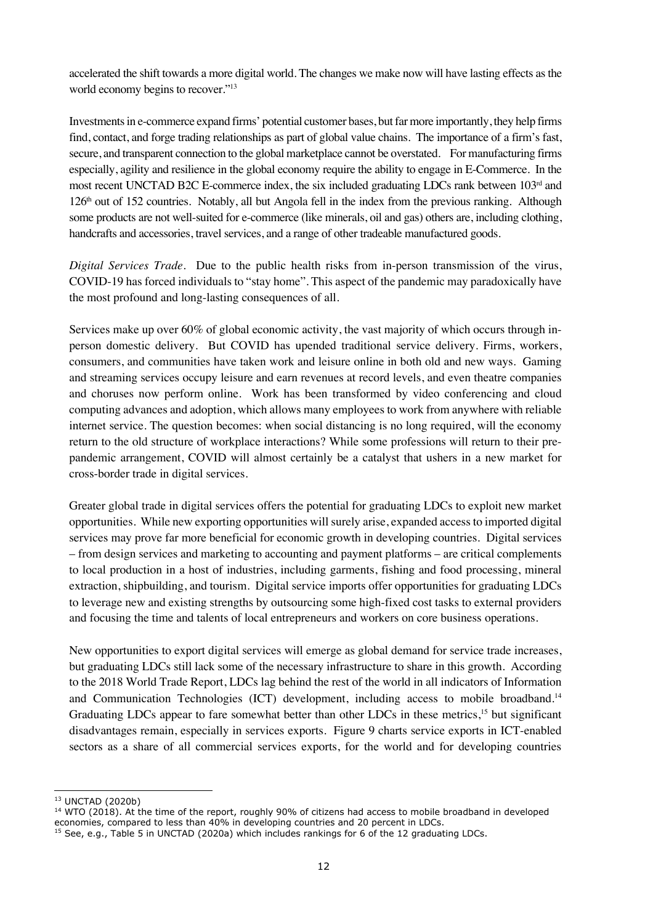accelerated the shift towards a more digital world. The changes we make now will have lasting effects as the world economy begins to recover."13

Investments in e-commerce expand firms' potential customer bases, but far more importantly, they help firms find, contact, and forge trading relationships as part of global value chains. The importance of a firm's fast, secure, and transparent connection to the global marketplace cannot be overstated. For manufacturing firms especially, agility and resilience in the global economy require the ability to engage in E-Commerce. In the most recent UNCTAD B2C E-commerce index, the six included graduating LDCs rank between 103<sup>rd</sup> and  $126<sup>th</sup>$  out of 152 countries. Notably, all but Angola fell in the index from the previous ranking. Although some products are not well-suited for e-commerce (like minerals, oil and gas) others are, including clothing, handcrafts and accessories, travel services, and a range of other tradeable manufactured goods.

*Digital Services Trade.* Due to the public health risks from in-person transmission of the virus, COVID-19 has forced individuals to "stay home". This aspect of the pandemic may paradoxically have the most profound and long-lasting consequences of all.

Services make up over 60% of global economic activity, the vast majority of which occurs through inperson domestic delivery. But COVID has upended traditional service delivery. Firms, workers, consumers, and communities have taken work and leisure online in both old and new ways. Gaming and streaming services occupy leisure and earn revenues at record levels, and even theatre companies and choruses now perform online. Work has been transformed by video conferencing and cloud computing advances and adoption, which allows many employees to work from anywhere with reliable internet service. The question becomes: when social distancing is no long required, will the economy return to the old structure of workplace interactions? While some professions will return to their prepandemic arrangement, COVID will almost certainly be a catalyst that ushers in a new market for cross-border trade in digital services.

Greater global trade in digital services offers the potential for graduating LDCs to exploit new market opportunities. While new exporting opportunities will surely arise, expanded access to imported digital services may prove far more beneficial for economic growth in developing countries. Digital services – from design services and marketing to accounting and payment platforms – are critical complements to local production in a host of industries, including garments, fishing and food processing, mineral extraction, shipbuilding, and tourism. Digital service imports offer opportunities for graduating LDCs to leverage new and existing strengths by outsourcing some high-fixed cost tasks to external providers and focusing the time and talents of local entrepreneurs and workers on core business operations.

New opportunities to export digital services will emerge as global demand for service trade increases, but graduating LDCs still lack some of the necessary infrastructure to share in this growth. According to the 2018 World Trade Report, LDCs lag behind the rest of the world in all indicators of Information and Communication Technologies (ICT) development, including access to mobile broadband.<sup>14</sup> Graduating LDCs appear to fare somewhat better than other LDCs in these metrics,<sup>15</sup> but significant disadvantages remain, especially in services exports. Figure 9 charts service exports in ICT-enabled sectors as a share of all commercial services exports, for the world and for developing countries

<sup>13</sup> UNCTAD (2020b)

<sup>&</sup>lt;sup>14</sup> WTO (2018). At the time of the report, roughly 90% of citizens had access to mobile broadband in developed economies, compared to less than 40% in developing countries and 20 percent in LDCs.

<sup>&</sup>lt;sup>15</sup> See, e.g., Table 5 in UNCTAD (2020a) which includes rankings for 6 of the 12 graduating LDCs.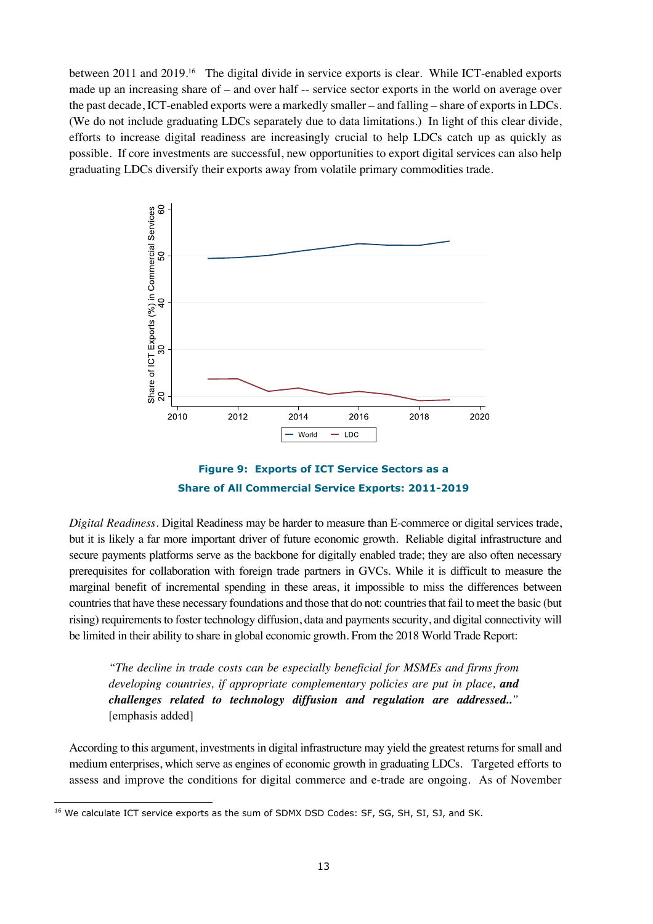between 2011 and 2019.<sup>16</sup> The digital divide in service exports is clear. While ICT-enabled exports made up an increasing share of – and over half -- service sector exports in the world on average over the past decade, ICT-enabled exports were a markedly smaller – and falling – share of exports in LDCs. (We do not include graduating LDCs separately due to data limitations.) In light of this clear divide, efforts to increase digital readiness are increasingly crucial to help LDCs catch up as quickly as possible. If core investments are successful, new opportunities to export digital services can also help graduating LDCs diversify their exports away from volatile primary commodities trade.





*Digital Readiness.* Digital Readiness may be harder to measure than E-commerce or digital services trade, but it is likely a far more important driver of future economic growth. Reliable digital infrastructure and secure payments platforms serve as the backbone for digitally enabled trade; they are also often necessary prerequisites for collaboration with foreign trade partners in GVCs. While it is difficult to measure the marginal benefit of incremental spending in these areas, it impossible to miss the differences between countries that have these necessary foundations and those that do not: countries that fail to meet the basic (but rising) requirements to foster technology diffusion, data and payments security, and digital connectivity will be limited in their ability to share in global economic growth. From the 2018 World Trade Report:

*"The decline in trade costs can be especially beneficial for MSMEs and firms from developing countries, if appropriate complementary policies are put in place, and challenges related to technology diffusion and regulation are addressed.."* [emphasis added]

According to this argument, investments in digital infrastructure may yield the greatest returns for small and medium enterprises, which serve as engines of economic growth in graduating LDCs. Targeted efforts to assess and improve the conditions for digital commerce and e-trade are ongoing. As of November

<sup>&</sup>lt;sup>16</sup> We calculate ICT service exports as the sum of SDMX DSD Codes: SF, SG, SH, SI, SJ, and SK.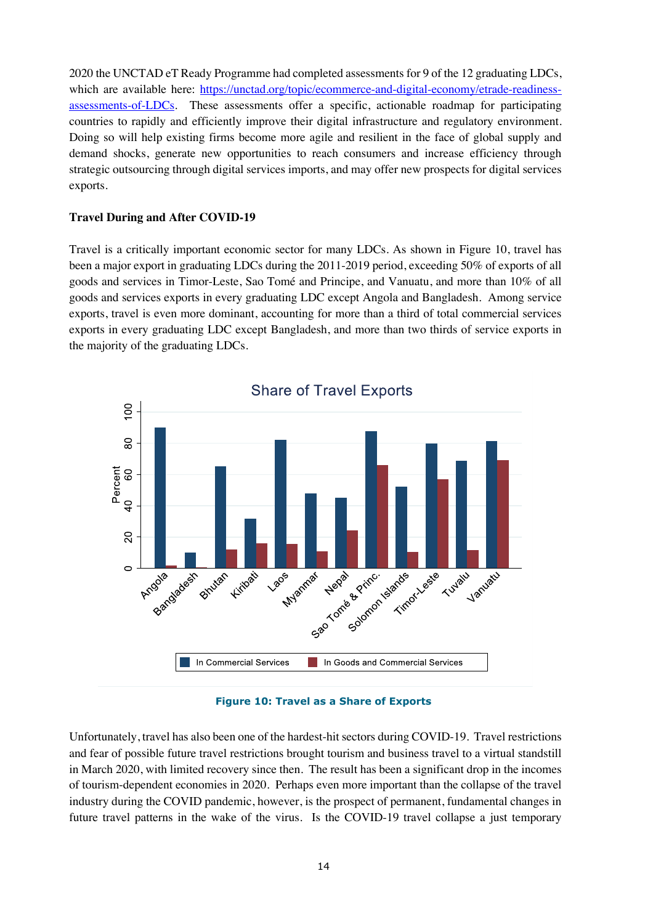2020 the UNCTAD eT Ready Programme had completed assessments for 9 of the 12 graduating LDCs, which are available here: https://unctad.org/topic/ecommerce-and-digital-economy/etrade-readinessassessments-of-LDCs. These assessments offer a specific, actionable roadmap for participating countries to rapidly and efficiently improve their digital infrastructure and regulatory environment. Doing so will help existing firms become more agile and resilient in the face of global supply and demand shocks, generate new opportunities to reach consumers and increase efficiency through strategic outsourcing through digital services imports, and may offer new prospects for digital services exports.

# **Travel During and After COVID-19**

Travel is a critically important economic sector for many LDCs. As shown in Figure 10, travel has been a major export in graduating LDCs during the 2011-2019 period, exceeding 50% of exports of all goods and services in Timor-Leste, Sao Tomé and Principe, and Vanuatu, and more than 10% of all goods and services exports in every graduating LDC except Angola and Bangladesh. Among service exports, travel is even more dominant, accounting for more than a third of total commercial services exports in every graduating LDC except Bangladesh, and more than two thirds of service exports in the majority of the graduating LDCs.



**Figure 10: Travel as a Share of Exports**

Unfortunately, travel has also been one of the hardest-hit sectors during COVID-19. Travel restrictions and fear of possible future travel restrictions brought tourism and business travel to a virtual standstill in March 2020, with limited recovery since then. The result has been a significant drop in the incomes of tourism-dependent economies in 2020. Perhaps even more important than the collapse of the travel industry during the COVID pandemic, however, is the prospect of permanent, fundamental changes in future travel patterns in the wake of the virus. Is the COVID-19 travel collapse a just temporary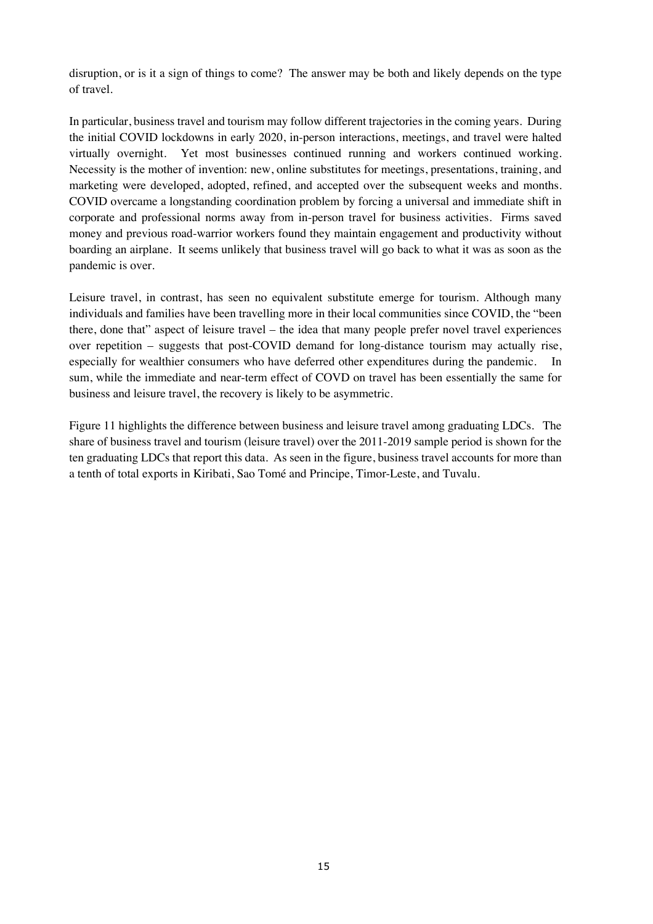disruption, or is it a sign of things to come? The answer may be both and likely depends on the type of travel.

In particular, business travel and tourism may follow different trajectories in the coming years. During the initial COVID lockdowns in early 2020, in-person interactions, meetings, and travel were halted virtually overnight. Yet most businesses continued running and workers continued working. Necessity is the mother of invention: new, online substitutes for meetings, presentations, training, and marketing were developed, adopted, refined, and accepted over the subsequent weeks and months. COVID overcame a longstanding coordination problem by forcing a universal and immediate shift in corporate and professional norms away from in-person travel for business activities. Firms saved money and previous road-warrior workers found they maintain engagement and productivity without boarding an airplane. It seems unlikely that business travel will go back to what it was as soon as the pandemic is over.

Leisure travel, in contrast, has seen no equivalent substitute emerge for tourism. Although many individuals and families have been travelling more in their local communities since COVID, the "been there, done that" aspect of leisure travel – the idea that many people prefer novel travel experiences over repetition – suggests that post-COVID demand for long-distance tourism may actually rise, especially for wealthier consumers who have deferred other expenditures during the pandemic. In sum, while the immediate and near-term effect of COVD on travel has been essentially the same for business and leisure travel, the recovery is likely to be asymmetric.

Figure 11 highlights the difference between business and leisure travel among graduating LDCs. The share of business travel and tourism (leisure travel) over the 2011-2019 sample period is shown for the ten graduating LDCs that report this data. As seen in the figure, business travel accounts for more than a tenth of total exports in Kiribati, Sao Tomé and Principe, Timor-Leste, and Tuvalu.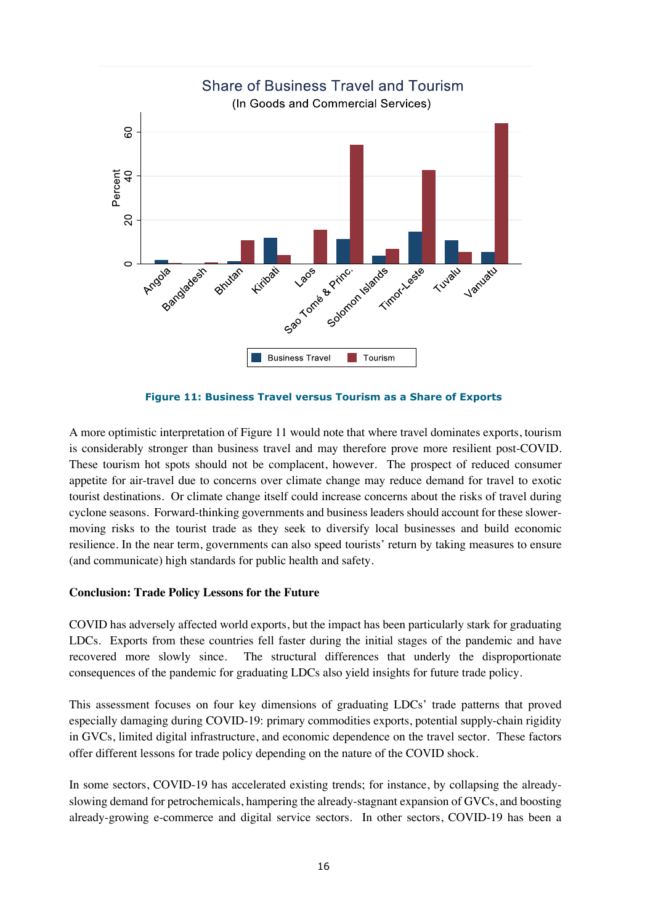

**Figure 11: Business Travel versus Tourism as a Share of Exports**

A more optimistic interpretation of Figure 11 would note that where travel dominates exports, tourism is considerably stronger than business travel and may therefore prove more resilient post-COVID. These tourism hot spots should not be complacent, however. The prospect of reduced consumer appetite for air-travel due to concerns over climate change may reduce demand for travel to exotic tourist destinations. Or climate change itself could increase concerns about the risks of travel during cyclone seasons. Forward-thinking governments and business leaders should account for these slowermoving risks to the tourist trade as they seek to diversify local businesses and build economic resilience. In the near term, governments can also speed tourists' return by taking measures to ensure (and communicate) high standards for public health and safety.

## **Conclusion: Trade Policy Lessons for the Future**

COVID has adversely affected world exports, but the impact has been particularly stark for graduating LDCs. Exports from these countries fell faster during the initial stages of the pandemic and have recovered more slowly since. The structural differences that underly the disproportionate consequences of the pandemic for graduating LDCs also yield insights for future trade policy.

This assessment focuses on four key dimensions of graduating LDCs' trade patterns that proved especially damaging during COVID-19: primary commodities exports, potential supply-chain rigidity in GVCs, limited digital infrastructure, and economic dependence on the travel sector. These factors offer different lessons for trade policy depending on the nature of the COVID shock.

In some sectors, COVID-19 has accelerated existing trends; for instance, by collapsing the alreadyslowing demand for petrochemicals, hampering the already-stagnant expansion of GVCs, and boosting already-growing e-commerce and digital service sectors. In other sectors, COVID-19 has been a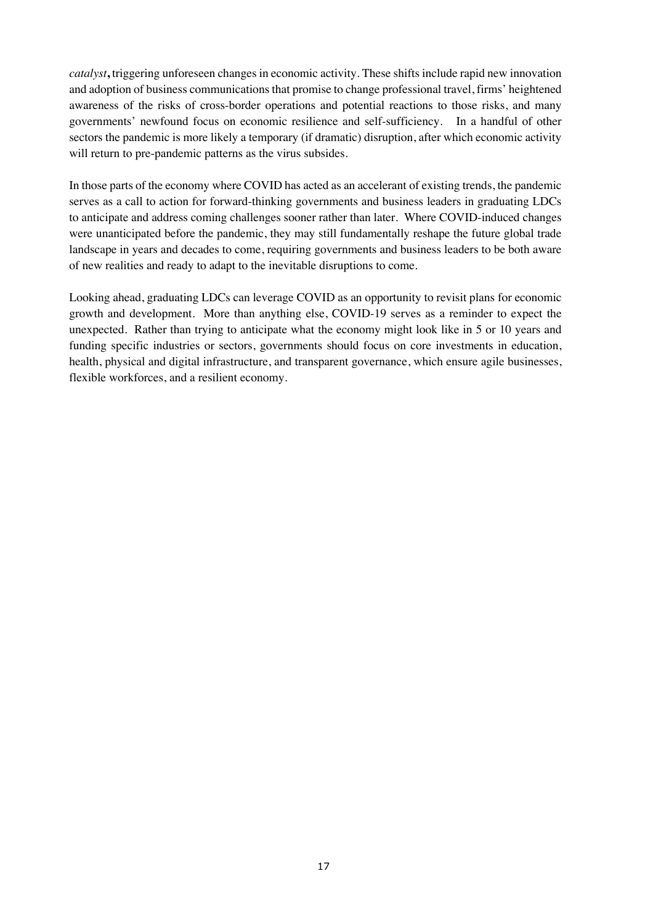*catalyst***,** triggering unforeseen changes in economic activity. These shifts include rapid new innovation and adoption of business communications that promise to change professional travel, firms' heightened awareness of the risks of cross-border operations and potential reactions to those risks, and many governments' newfound focus on economic resilience and self-sufficiency. In a handful of other sectors the pandemic is more likely a temporary (if dramatic) disruption, after which economic activity will return to pre-pandemic patterns as the virus subsides.

In those parts of the economy where COVID has acted as an accelerant of existing trends, the pandemic serves as a call to action for forward-thinking governments and business leaders in graduating LDCs to anticipate and address coming challenges sooner rather than later. Where COVID-induced changes were unanticipated before the pandemic, they may still fundamentally reshape the future global trade landscape in years and decades to come, requiring governments and business leaders to be both aware of new realities and ready to adapt to the inevitable disruptions to come.

Looking ahead, graduating LDCs can leverage COVID as an opportunity to revisit plans for economic growth and development. More than anything else, COVID-19 serves as a reminder to expect the unexpected. Rather than trying to anticipate what the economy might look like in 5 or 10 years and funding specific industries or sectors, governments should focus on core investments in education, health, physical and digital infrastructure, and transparent governance, which ensure agile businesses, flexible workforces, and a resilient economy.